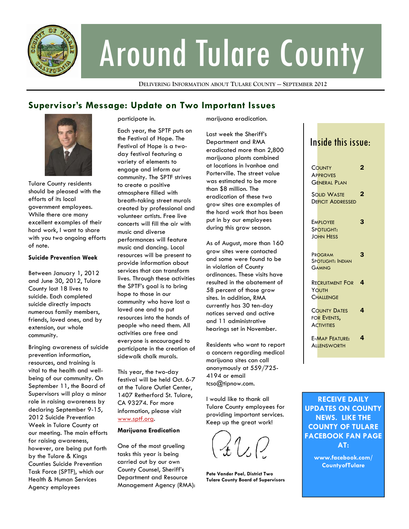

# Around Tulare County

**DELIVERING INFORMATION ABOUT TULARE COUNTY — SEPTEMBER 2012**

## **Supervisor's Message: Update on Two Important Issues**



Tulare County residents should be pleased with the efforts of its local government employees. While there are many excellent examples of their hard work, I want to share with you two ongoing efforts of note.

#### **Suicide Prevention Week**

Between January 1, 2012 and June 30, 2012, Tulare County lost 18 lives to suicide. Each completed suicide directly impacts numerous family members, friends, loved ones, and by extension, our whole community.

Bringing awareness of suicide prevention information, resources, and training is vital to the health and wellbeing of our community. On September 11, the Board of Supervisors will play a minor role in raising awareness by declaring September 9-15, 2012 Suicide Prevention Week in Tulare County at our meeting. The main efforts for raising awareness, however, are being put forth by the Tulare & Kings Counties Suicide Prevention Task Force (SPTF), which our Health & Human Services Agency employees

participate in.

Each year, the SPTF puts on the Festival of Hope. The Festival of Hope is a twoday festival featuring a variety of elements to engage and inform our community. The SPTF strives to create a positive atmosphere filled with breath-taking street murals created by professional and volunteer artists. Free live concerts will fill the air with music and diverse performances will feature music and dancing. Local resources will be present to provide information about services that can transform lives. Through these activities the SPTF's goal is to bring hope to those in our community who have lost a loved one and to put resources into the hands of people who need them. All activities are free and everyone is encouraged to participate in the creation of sidewalk chalk murals.

This year, the two-day festival will be held Oct. 6-7 at the Tulare Outlet Center, 1407 Retherford St. Tulare, CA 93274. For more information, please visit [www.sptf.org](http://www.spft.org).

#### **Marijuana Eradication**

One of the most grueling tasks this year is being carried out by our own County Counsel, Sheriff's Department and Resource Management Agency (RMA): marijuana eradication.

Last week the Sheriff's Department and RMA eradicated more than 2,800 marijuana plants combined at locations in Ivanhoe and Porterville. The street value was estimated to be more than \$8 million. The eradication of these two grow sites are examples of the hard work that has been put in by our employees during this grow season.

As of August, more than 160 grow sites were contacted and some were found to be in violation of County ordinances. These visits have resulted in the abatement of 58 percent of those grow sites. In addition, RMA currently has 30 ten-day notices served and active and 11 administrative hearings set in November.

Residents who want to report a concern regarding medical marijuana sites can call anonymously at 559/725- 4194 or email tcso@tipnow.com.

I would like to thank all Tulare County employees for providing important services. Keep up the great work!

**Pete Vander Poel, District Two Tulare County Board of Supervisors** 

## Inside this issue:

| COUNTY<br><b>APPROVES</b><br>General Plan               | 2 |
|---------------------------------------------------------|---|
| <b>SOLID WASTE</b><br><b>DEFICIT ADDRESSED</b>          | 2 |
| <b>EMPLOYEE</b><br>SPOTLIGHT:<br><b>JOHN HESS</b>       | 3 |
| PROGRAM<br><b>SPOTLIGHT: INDIAN</b><br><b>GAMING</b>    | 3 |
| Recruitment For<br>YOUTH<br>Challenge                   | 4 |
| <b>COUNTY DATES</b><br>FOR EVENTS,<br><b>ACTIVITIES</b> | 4 |
| <b>F-MAP FFATURE:</b><br><b>ALLENSWORTH</b>             | 4 |

**RECEIVE DAILY UPDATES ON COUNTY NEWS. LIKE THE COUNTY OF TULARE FACEBOOK FAN PAGE AT:** 

> **www.facebook.com/ CountyofTulare**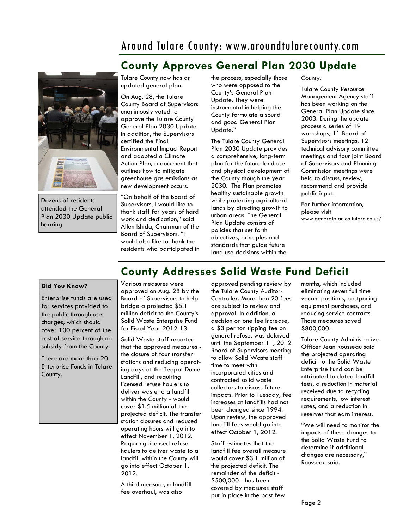## Around Tulare County: www.aroundtularecounty.com



Dozens of residents attended the General Plan 2030 Update public hearing

## **County Approves General Plan 2030 Update**

updated general plan. On Aug. 28, the Tulare County Board of Supervisors unanimously voted to approve the Tulare County General Plan 2030 Update. In addition, the Supervisors certified the Final Environmental Impact Report and adopted a Climate Action Plan, a document that outlines how to mitigate greenhouse gas emissions as new development occurs.

Tulare County now has an

"On behalf of the Board of Supervisors, I would like to thank staff for years of hard work and dedication," said Allen Ishida, Chairman of the Board of Supervisors. "I would also like to thank the residents who participated in the process, especially those who were opposed to the County's General Plan Update. They were instrumental in helping the County formulate a sound and good General Plan Update."

The Tulare County General Plan 2030 Update provides a comprehensive, long-term plan for the future land use and physical development of the County though the year 2030. The Plan promotes healthy sustainable growth while protecting agricultural lands by directing growth to urban areas. The General Plan Update consists of policies that set forth objectives, principles and standards that guide future land use decisions within the

County.

Tulare County Resource Management Agency staff has been working on the General Plan Update since 2003. During the update process a series of 19 workshops, 11 Board of Supervisors meetings, 12 technical advisory committee meetings and four joint Board of Supervisors and Planning Commission meetings were held to discuss, review, recommend and provide public input.

For further information, please visit www.[generalplan.co.tulare.ca.us/](http://generalplan.co.tulare.ca.us/)

## **County Addresses Solid Waste Fund Deficit**

#### **Did You Know?**

Enterprise funds are used for services provided to the public through user charges, which should cover 100 percent of the cost of service through no subsidy from the County.

There are more than 20 Enterprise Funds in Tulare County.

Various measures were approved on Aug. 28 by the Board of Supervisors to help bridge a projected \$5.1 million deficit to the County's Solid Waste Enterprise Fund for Fiscal Year 2012-13.

Solid Waste staff reported that the approved measures the closure of four transfer stations and reducing operating days at the Teapot Dome Landfill, and requiring licensed refuse haulers to deliver waste to a landfill within the County - would cover \$1.5 million of the projected deficit. The transfer station closures and reduced operating hours will go into effect November 1, 2012. Requiring licensed refuse haulers to deliver waste to a landfill within the County will go into effect October 1, 2012.

A third measure, a landfill fee overhaul, was also

approved pending review by the Tulare County Auditor-Controller. More than 20 fees are subject to review and approval. In addition, a decision on one fee increase, a \$3 per ton tipping fee on general refuse, was delayed until the September 11, 2012 Board of Supervisors meeting to allow Solid Waste staff time to meet with incorporated cities and contracted solid waste collectors to discuss future impacts. Prior to Tuesday, fee increases at landfills had not been changed since 1994. Upon review, the approved landfill fees would go into effect October 1, 2012.

Staff estimates that the landfill fee overall measure would cover \$3.1 million of the projected deficit. The remainder of the deficit - \$500,000 - has been covered by measures staff put in place in the past few

months, which included eliminating seven full time vacant positions, postponing equipment purchases, and reducing service contracts. Those measures saved \$800,000.

Tulare County Administrative Officer Jean Rousseau said the projected operating deficit to the Solid Waste Enterprise Fund can be attributed to dated landfill fees, a reduction in material received due to recycling requirements, low interest rates, and a reduction in reserves that earn interest.

"We will need to monitor the impacts of these changes to the Solid Waste Fund to determine if additional changes are necessary," Rousseau said.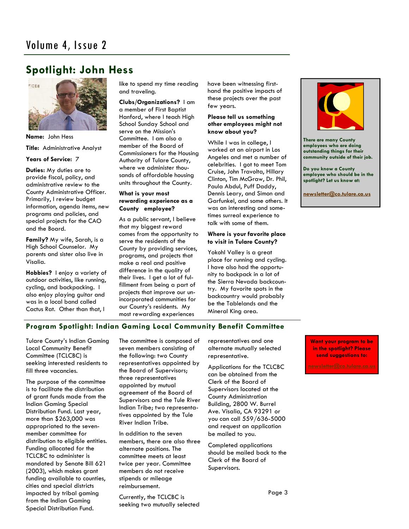## **Spotlight: John Hess**



**Name:** John Hess **Title:** Administrative Analyst **Years of Service:** 7

**Duties:** My duties are to provide fiscal, policy, and administrative review to the County Administrative Officer. Primarily, I review budget information, agenda items, new programs and policies, and special projects for the CAO and the Board.

**Family?** My wife, Sarah, is a High School Counselor. My parents and sister also live in Visalia.

**Hobbies?** I enjoy a variety of outdoor activities, like running, cycling, and backpacking. I also enjoy playing guitar and was in a local band called Cactus Rat. Other than that, I

like to spend my time reading and traveling.

**Clubs/Organizations?** I am a member of First Baptist Hanford, where I teach High School Sunday School and serve on the Mission's Committee. I am also a member of the Board of Commissioners for the Housing Authority of Tulare County, where we administer thousands of affordable housing units throughout the County.

#### **What is your most rewarding experience as a County employee?**

As a public servant, I believe that my biggest reward comes from the opportunity to serve the residents of the County by providing services, programs, and projects that make a real and positive difference in the quality of their lives. I get a lot of fulfillment from being a part of projects that improve our unincorporated communities for our County's residents. My most rewarding experiences

have been witnessing firsthand the positive impacts of these projects over the past few years.

#### **Please tell us something other employees might not know about you?**

While I was in college, I worked at an airport in Los Angeles and met a number of celebrities. I got to meet Tom Cruise, John Travolta, Hillary Clinton, Tim McGraw, Dr. Phil, Paula Abdul, Puff Daddy, Dennis Leary, and Simon and Garfunkel, and some others. It was an interesting and sometimes surreal experience to talk with some of them.

#### **Where is your favorite place to visit in Tulare County?**

Yokohl Valley is a great place for running and cycling. I have also had the opportunity to backpack in a lot of the Sierra Nevada backcountry. My favorite spots in the backcountry would probably be the Tablelands and the Mineral King area.



**There are many County employees who are doing outstanding things for their community outside of their job.** 

**Do you know a County employee who should be in the spotlight? Let us know at:** 

**[newsletter@co.tulare.ca.us](mailto:newsletter@co.tulare.ca.us?subject=Employee%20spotlight)**

### **Program Spotlight: Indian Gaming Local Community Benefit Committee**

Tulare County's Indian Gaming Local Community Benefit Committee (TCLCBC) is seeking interested residents to fill three vacancies.

The purpose of the committee is to facilitate the distribution of grant funds made from the Indian Gaming Special Distribution Fund. Last year, more than \$263,000 was appropriated to the sevenmember committee for distribution to eligible entities. Funding allocated for the TCLCBC to administer is mandated by Senate Bill 621 (2003), which makes grant funding available to counties, cities and special districts impacted by tribal gaming from the Indian Gaming Special Distribution Fund.

The committee is composed of seven members consisting of the following: two County representatives appointed by the Board of Supervisors; three representatives appointed by mutual agreement of the Board of Supervisors and the Tule River Indian Tribe; two representatives appointed by the Tule River Indian Tribe.

In addition to the seven members, there are also three alternate positions. The committee meets at least twice per year. Committee members do not receive stipends or mileage reimbursement.

Currently, the TCLCBC is seeking two mutually selected representatives and one alternate mutually selected representative.

Applications for the TCLCBC can be obtained from the Clerk of the Board of Supervisors located at the County Administration Building, 2800 W. Burrel Ave. Visalia, CA 93291 or you can call 559/636-5000 and request an application be mailed to you.

Completed applications should be mailed back to the Clerk of the Board of Supervisors.

**Want your program to be in the spotlight? Please send suggestions to:**